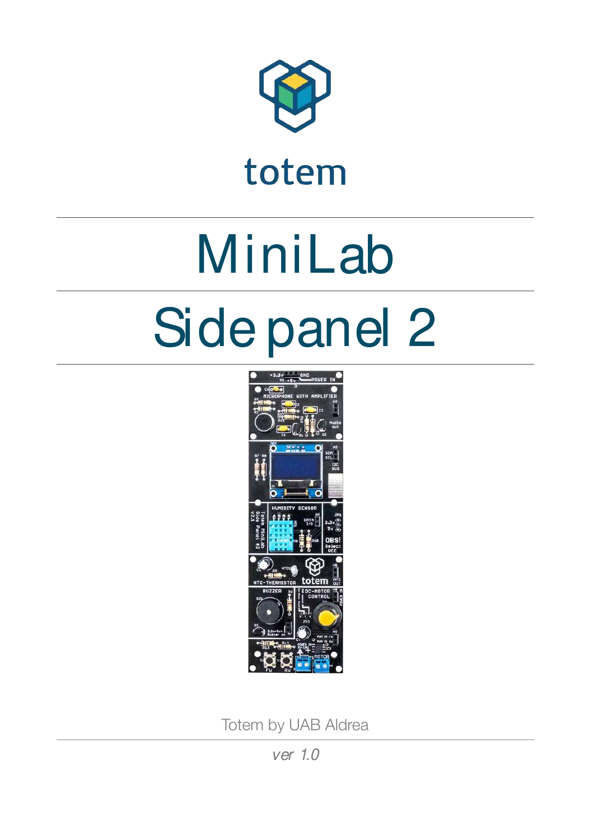

totem

# MiniLab Side panel 2



Totem by UAB Aldrea

ver 1.0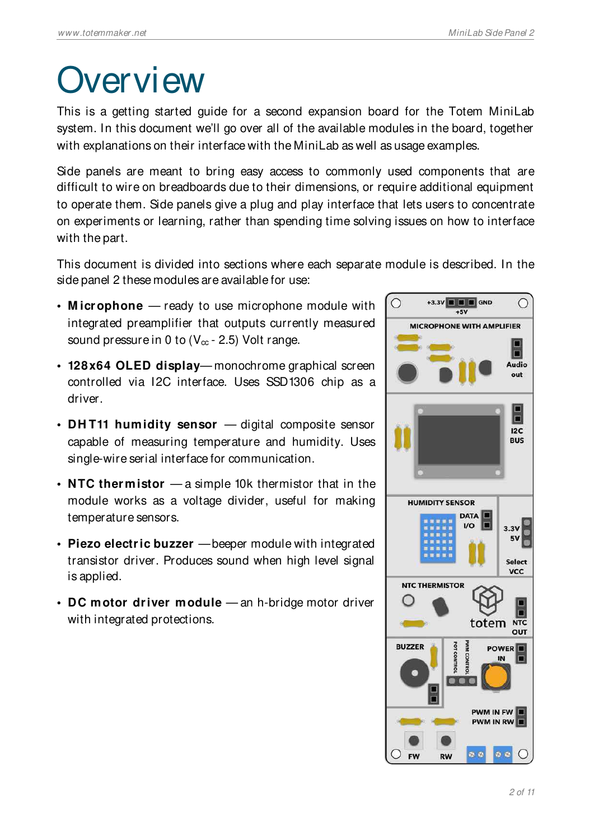### **Overview**

This is a getting started guide for a second expansion board for the Totem MiniLab system. In this document we'll go over all of the available modules in the board, together with explanations on their interface with the MiniLab as well as usage examples.

Side panels are meant to bring easy access to commonly used components that are difficult to wire on breadboards due to their dimensions, or require additional equipment to operate them. Side panels give a plug and play interface that lets users to concentrate on experiments or learning, rather than spending time solving issues on how to interface with the part.

This document is divided into sections where each separate module is described. In the side panel 2 these modules are available for use:

- **M icrophone**  ready to use microphone module with integrated preamplifier that outputs currently measured sound pressure in 0 to  $(V_{\infty} - 2.5)$  Volt range.
- **128x64 OLED display** monochrome graphical screen controlled via I2C interface. Uses SSD1306 chip as a driver.
- **DH T11 humidity sensor**  digital composite sensor capable of measuring temperature and humidity. Uses single-wire serial interface for communication.
- **NTC thermistor**  a simple 10k thermistor that in the module works as a voltage divider, useful for making temperature sensors.
- **Piezo electric buzzer**  beeper module with integrated transistor driver. Produces sound when high level signal is applied.
- **DC motor driver module**  an h-bridge motor driver with integrated protections.

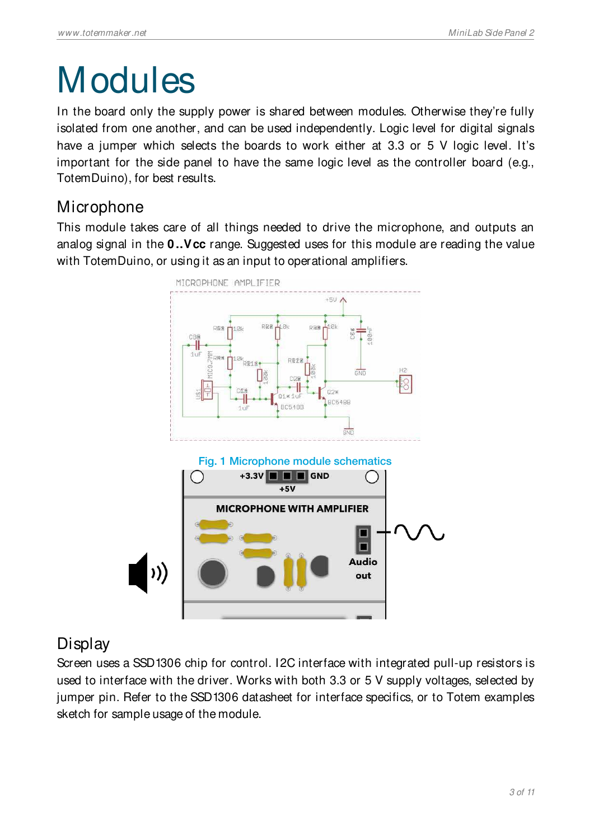# **Modules**

In the board only the supply power is shared between modules. Otherwise they're fully isolated from one another, and can be used independently. Logic level for digital signals have a jumper which selects the boards to work either at 3.3 or 5 V logic level. It's important for the side panel to have the same logic level as the controller board (e.g., TotemDuino), for best results.

#### **Microphone**

This module takes care of all things needed to drive the microphone, and outputs an analog signal in the **0 ..Vcc** range. Suggested uses for this module are reading the value with TotemDuino, or using it as an input to operational amplifiers.



### **Display**

Screen uses a SSD1306 chip for control. I2C interface with integrated pull-up resistors is used to interface with the driver. Works with both 3.3 or 5 V supply voltages, selected by jumper pin. Refer to the SSD1306 datasheet for interface specifics, or to Totem examples sketch for sample usage of the module.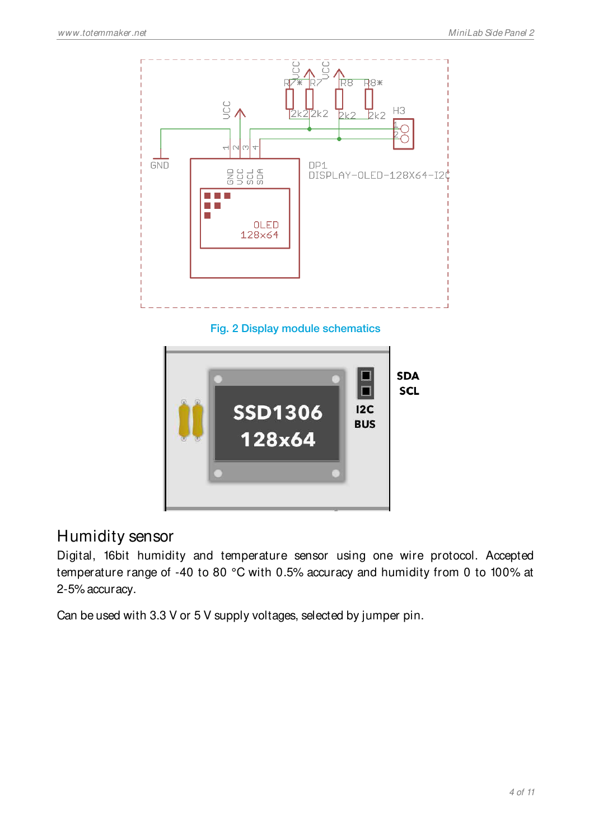

Fig. 2 Display module schematics



#### Humidity sensor

Digital, 16bit humidity and temperature sensor using one wire protocol. Accepted temperature range of -40 to 80 °C with 0.5% accuracy and humidity from 0 to 100% at 2-5% accuracy.

Can be used with 3.3 V or 5 V supply voltages, selected by jumper pin.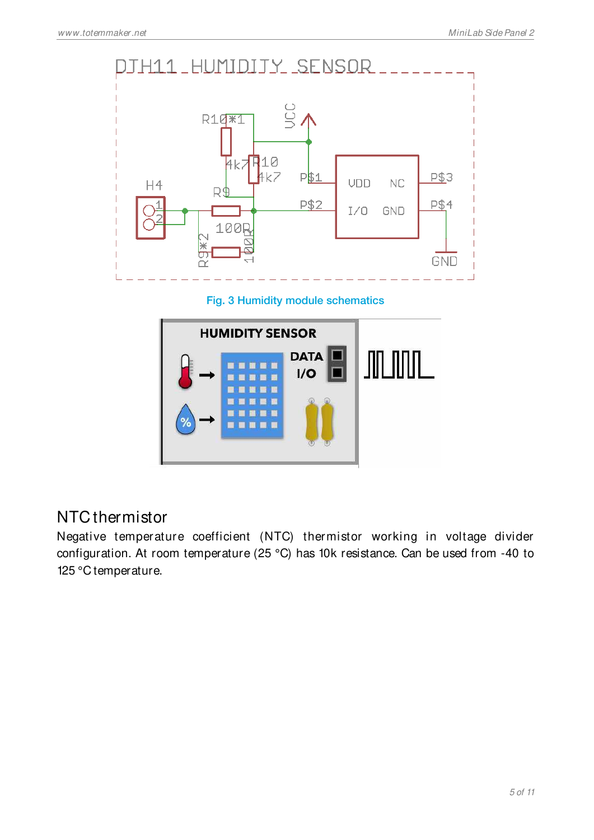

Fig. 3 Humidity module schematics



#### NTC thermistor

Negative temperature coefficient (NTC) thermistor working in voltage divider configuration. At room temperature (25 °C) has 10k resistance. Can be used from -40 to 125 °C temperature.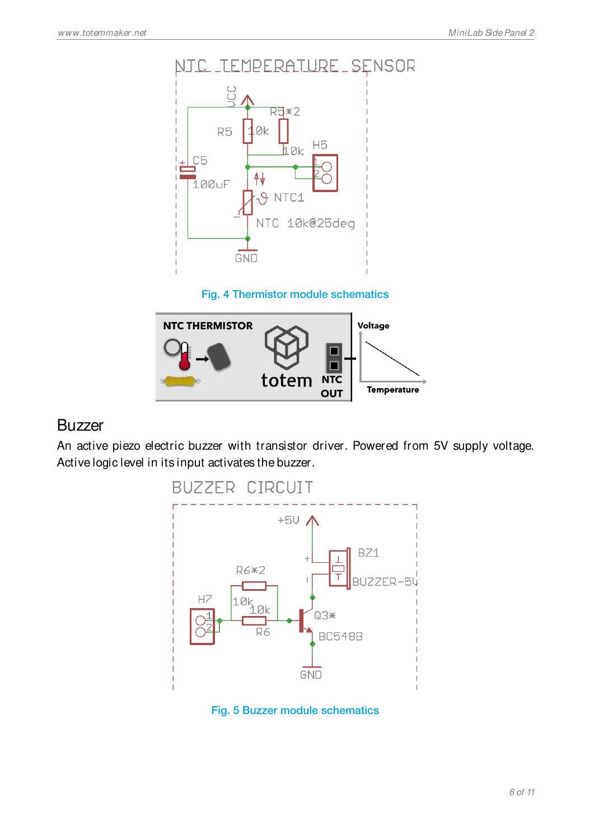

#### Fig. 4 Thermistor module schematics



#### **Buzzer**

An active piezo electric buzzer with transistor driver. Powered from 5V supply voltage. Active logic level in its input activates the buzzer.



Fig. 5 Buzzer module schematics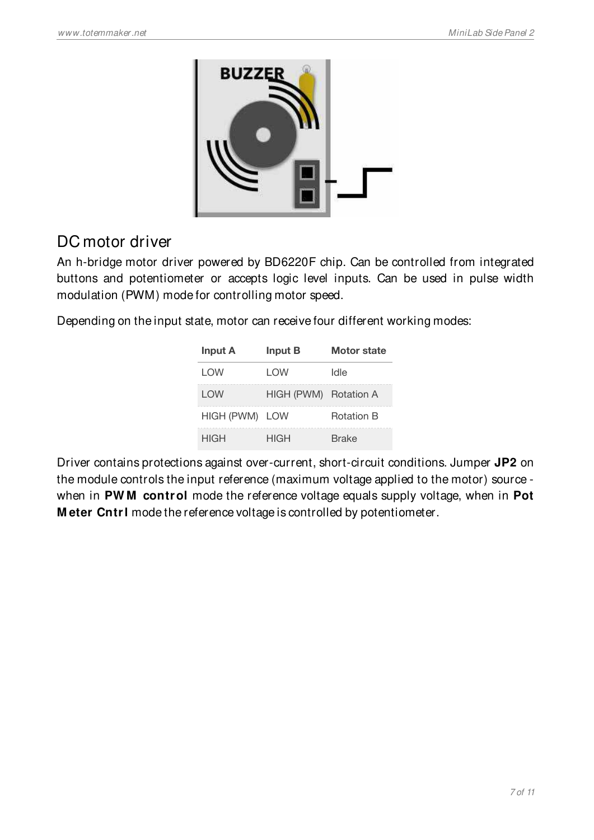

### DC motor driver

An h-bridge motor driver powered by BD6220F chip. Can be controlled from integrated buttons and potentiometer or accepts logic level inputs. Can be used in pulse width modulation (PWM) mode for controlling motor speed.

Depending on the input state, motor can receive four different working modes:

| <b>Input A</b> | <b>Input B</b>        | Motor state |
|----------------|-----------------------|-------------|
| LOW            | I OW                  | ldle        |
| LOW            | HIGH (PWM) Rotation A |             |
| HIGH (PWM) LOW |                       | Rotation R  |
| HIGH           | HIGH                  | Brake       |

Driver contains protections against over-current, short-circuit conditions. Jumper **JP2** on the module controls the input reference (maximum voltage applied to the motor) source when in **PW M control** mode the reference voltage equals supply voltage, when in **Pot M eter Cntrl** mode the reference voltage is controlled by potentiometer.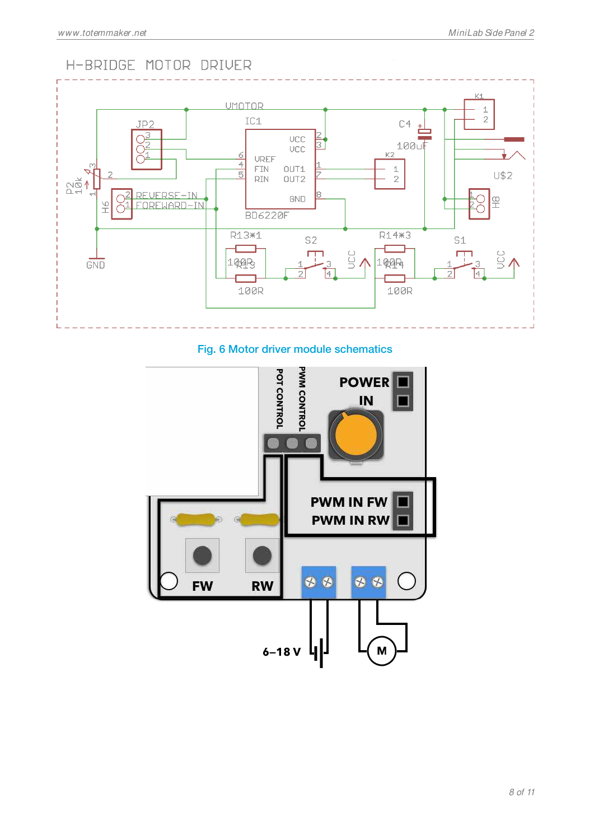#### H-BRIDGE MOTOR DRIVER



#### Fig. 6 Motor driver module schematics

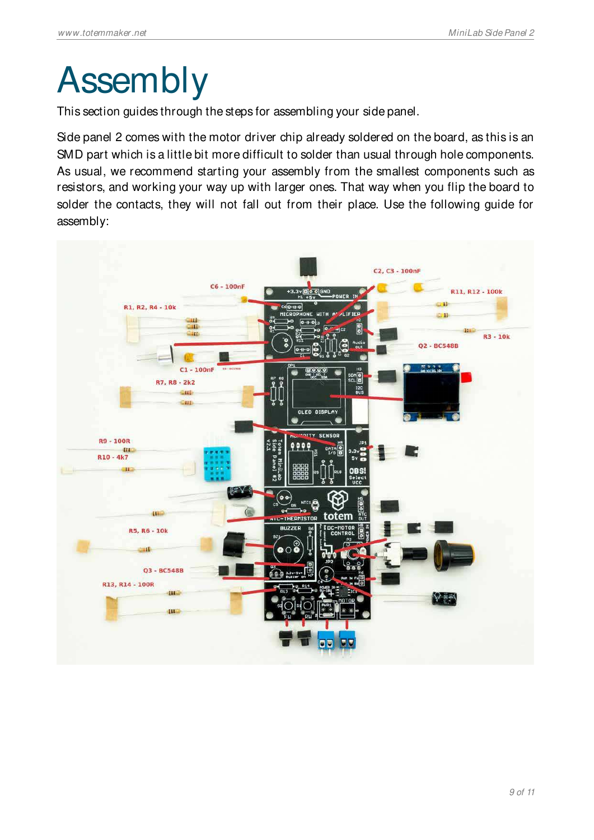### Assembly

This section guides through the steps for assembling your side panel.

Side panel 2 comes with the motor driver chip already soldered on the board, as this is an SMD part which is a little bit more difficult to solder than usual through hole components. As usual, we recommend starting your assembly from the smallest components such as resistors, and working your way up with larger ones. That way when you flip the board to solder the contacts, they will not fall out from their place. Use the following guide for assembly:

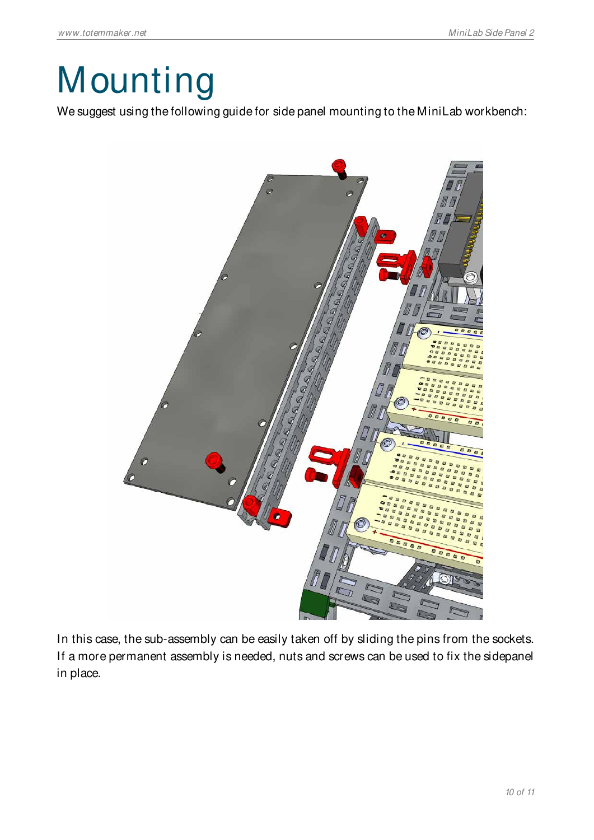# **Mounting**

We suggest using the following guide for side panel mounting to the MiniLab workbench:



In this case, the sub-assembly can be easily taken off by sliding the pins from the sockets. If a more permanent assembly is needed, nuts and screws can be used to fix the sidepanel in place.